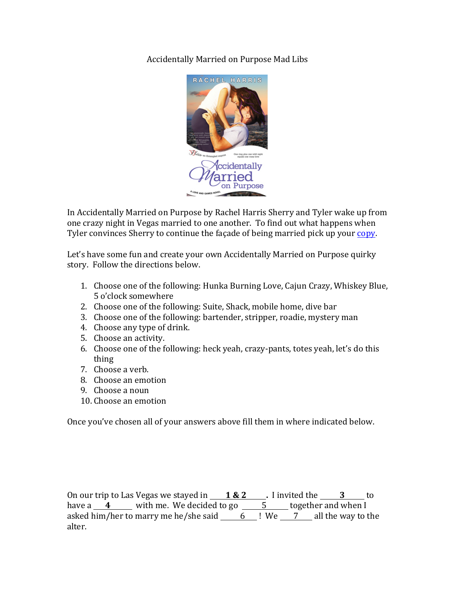Accidentally Married on Purpose Mad Libs



In Accidentally Married on Purpose by Rachel Harris Sherry and Tyler wake up from one crazy night in Vegas married to one another. To find out what happens when Tyler convinces Sherry to continue the façade of being married pick up your copy.

Let's have some fun and create your own Accidentally Married on Purpose quirky story. Follow the directions below.

- 1. Choose one of the following: Hunka Burning Love, Cajun Crazy, Whiskey Blue, 5 o'clock somewhere
- 2. Choose one of the following: Suite, Shack, mobile home, dive bar
- 3. Choose one of the following: bartender, stripper, roadie, mystery man
- 4. Choose any type of drink.
- 5. Choose an activity.
- 6. Choose one of the following: heck yeah, crazy-pants, totes yeah, let's do this thing
- 7. Choose a verb.
- 8. Choose an emotion
- 9. Choose a noun
- 10. Choose an emotion

Once you've chosen all of your answers above fill them in where indicated below.

On our trip to Las Vegas we stayed in  $\overline{1 \& 2}$  . I invited the  $\overline{3}$  to have a  $\bf{4}$  with me. We decided to go  $\bf{5}$  together and when I asked him/her to marry me he/she said  $\overline{6}$  ! We  $\overline{7}$  all the way to the alter.